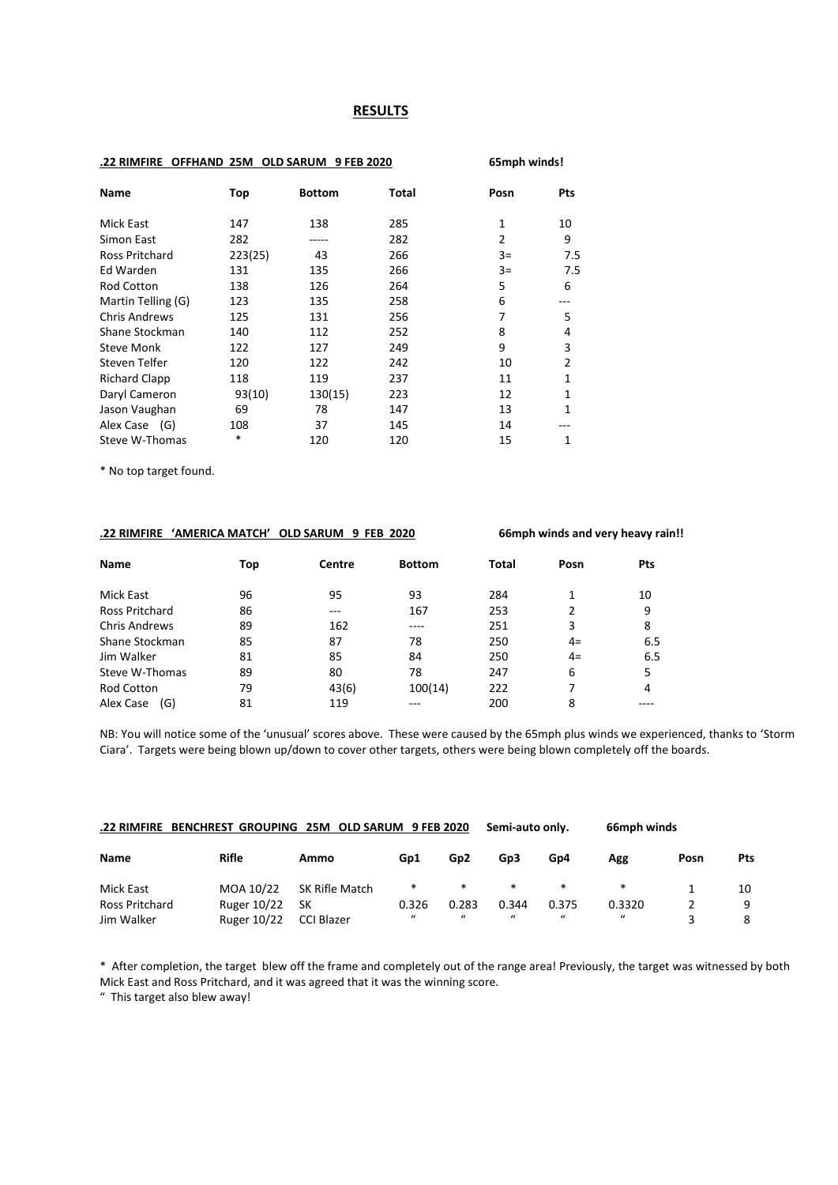#### **RESULTS**

#### **.22 RIMFIRE OFFHAND 25M OLD SARUM 9 FEB 2020 65mph winds!**

| <b>Name</b>          | Top     | <b>Bottom</b> | Total | Posn           | Pts            |
|----------------------|---------|---------------|-------|----------------|----------------|
| Mick East            | 147     | 138           | 285   | 1              | 10             |
| Simon East           | 282     |               | 282   | $\overline{2}$ | 9              |
| Ross Pritchard       | 223(25) | 43            | 266   | $3=$           | 7.5            |
| Ed Warden            | 131     | 135           | 266   | $3=$           | 7.5            |
| <b>Rod Cotton</b>    | 138     | 126           | 264   | 5              | 6              |
| Martin Telling (G)   | 123     | 135           | 258   | 6              |                |
| <b>Chris Andrews</b> | 125     | 131           | 256   | 7              | 5              |
| Shane Stockman       | 140     | 112           | 252   | 8              | 4              |
| <b>Steve Monk</b>    | 122     | 127           | 249   | 9              | 3              |
| Steven Telfer        | 120     | 122           | 242   | 10             | $\overline{2}$ |
| <b>Richard Clapp</b> | 118     | 119           | 237   | 11             | 1              |
| Daryl Cameron        | 93(10)  | 130(15)       | 223   | 12             | 1              |
| Jason Vaughan        | 69      | 78            | 147   | 13             | 1              |
| Alex Case (G)        | 108     | 37            | 145   | 14             |                |
| Steve W-Thomas       | *       | 120           | 120   | 15             | 1              |

\* No top target found.

#### **.22 RIMFIRE 'AMERICA MATCH' OLD SARUM 9 FEB 2020 66mph winds and very heavy rain!!**

| Name                 | Top | Centre | <b>Bottom</b> | <b>Total</b> | Posn           | Pts |
|----------------------|-----|--------|---------------|--------------|----------------|-----|
| Mick East            | 96  | 95     | 93            | 284          | 1              | 10  |
| Ross Pritchard       | 86  | ---    | 167           | 253          | $\overline{2}$ | 9   |
| <b>Chris Andrews</b> | 89  | 162    | ----          | 251          | 3              | 8   |
| Shane Stockman       | 85  | 87     | 78            | 250          | $4=$           | 6.5 |
| Jim Walker           | 81  | 85     | 84            | 250          | $4=$           | 6.5 |
| Steve W-Thomas       | 89  | 80     | 78            | 247          | 6              | 5   |
| Rod Cotton           | 79  | 43(6)  | 100(14)       | 222          |                | 4   |
| Alex Case<br>(G)     | 81  | 119    |               | 200          | 8              |     |

NB: You will notice some of the 'unusual' scores above. These were caused by the 65mph plus winds we experienced, thanks to 'Storm Ciara'. Targets were being blown up/down to cover other targets, others were being blown completely off the boards.

| .22 RIMFIRE BENCHREST GROUPING 25M OLD SARUM 9 FEB 2020<br>66mph winds<br>Semi-auto only. |                    |                |          |                 |               |         |             |      |     |
|-------------------------------------------------------------------------------------------|--------------------|----------------|----------|-----------------|---------------|---------|-------------|------|-----|
| <b>Name</b>                                                                               | <b>Rifle</b>       | Ammo           | Gp1      | Gp <sub>2</sub> | Gp3           | Gp4     | Agg         | Posn | Pts |
| Mick East                                                                                 | MOA 10/22          | SK Rifle Match | $\ast$   | $\ast$          | $\ast$        | $\ast$  | *           |      | 10  |
| Ross Pritchard                                                                            | Ruger 10/22        | SК             | 0.326    | 0.283           | 0.344         | 0.375   | 0.3320      |      | 9   |
| Jim Walker                                                                                | <b>Ruger 10/22</b> | CCI Blazer     | $\bf{u}$ | $\bf{u}$        | $\mathcal{U}$ | $\iota$ | $\mathbf u$ |      |     |

\* After completion, the target blew off the frame and completely out of the range area! Previously, the target was witnessed by both Mick East and Ross Pritchard, and it was agreed that it was the winning score.

" This target also blew away!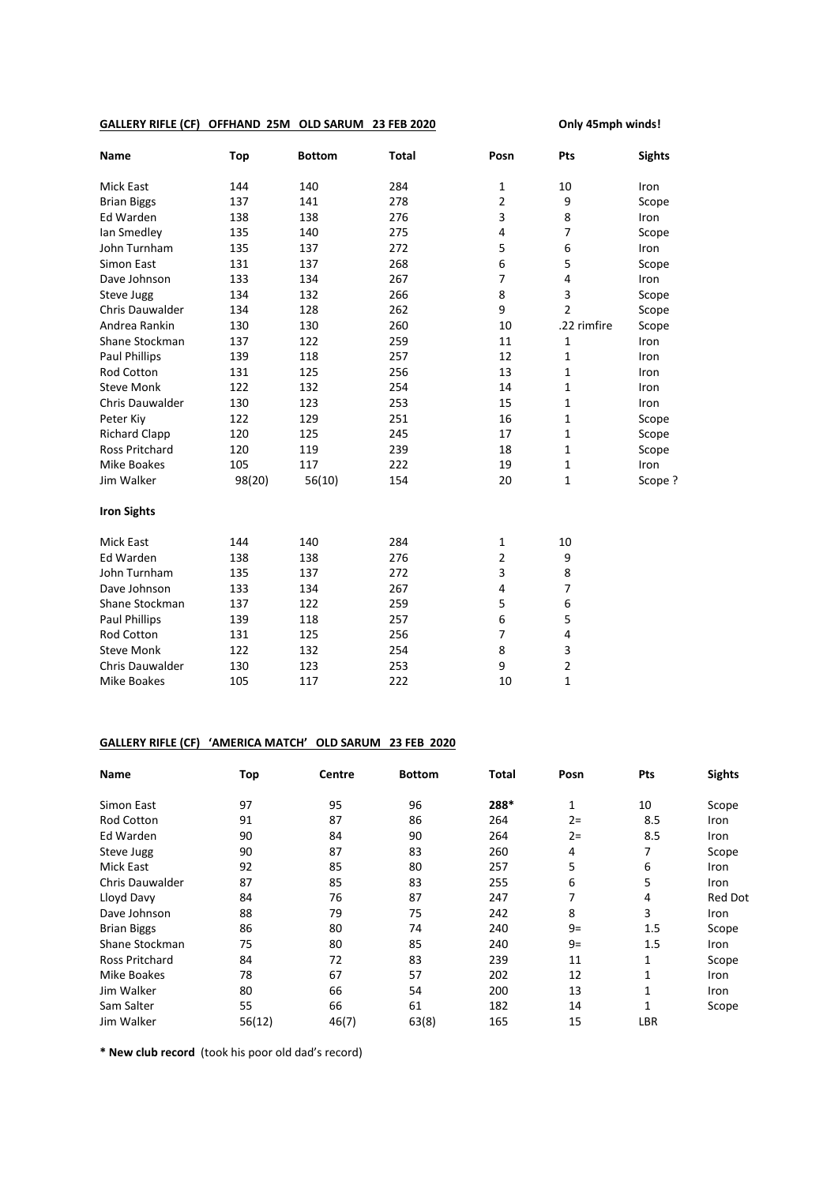## **GALLERY RIFLE (CF) OFFHAND 25M OLD SARUM 23 FEB 2020 Only 45mph winds!**

| <b>Name</b>            | Top    | <b>Bottom</b> | <b>Total</b> | Posn           | Pts            | <b>Sights</b> |
|------------------------|--------|---------------|--------------|----------------|----------------|---------------|
| <b>Mick East</b>       | 144    | 140           | 284          | $\mathbf{1}$   | 10             | Iron          |
| <b>Brian Biggs</b>     | 137    | 141           | 278          | $\overline{2}$ | 9              | Scope         |
| Ed Warden              | 138    | 138           | 276          | 3              | 8              | Iron          |
| lan Smedley            | 135    | 140           | 275          | 4              | 7              | Scope         |
| John Turnham           | 135    | 137           | 272          | 5              | 6              | Iron          |
| Simon East             | 131    | 137           | 268          | 6              | 5              | Scope         |
| Dave Johnson           | 133    | 134           | 267          | 7              | 4              | Iron          |
| Steve Jugg             | 134    | 132           | 266          | 8              | 3              | Scope         |
| <b>Chris Dauwalder</b> | 134    | 128           | 262          | 9              | $\overline{2}$ | Scope         |
| Andrea Rankin          | 130    | 130           | 260          | 10             | .22 rimfire    | Scope         |
| Shane Stockman         | 137    | 122           | 259          | 11             | $\mathbf{1}$   | Iron          |
| <b>Paul Phillips</b>   | 139    | 118           | 257          | 12             | $\mathbf{1}$   | Iron          |
| Rod Cotton             | 131    | 125           | 256          | 13             | 1              | Iron          |
| <b>Steve Monk</b>      | 122    | 132           | 254          | 14             | 1              | Iron          |
| Chris Dauwalder        | 130    | 123           | 253          | 15             | 1              | Iron          |
| Peter Kiy              | 122    | 129           | 251          | 16             | 1              | Scope         |
| <b>Richard Clapp</b>   | 120    | 125           | 245          | 17             | 1              | Scope         |
| <b>Ross Pritchard</b>  | 120    | 119           | 239          | 18             | 1              | Scope         |
| <b>Mike Boakes</b>     | 105    | 117           | 222          | 19             | $\mathbf{1}$   | Iron          |
| Jim Walker             | 98(20) | 56(10)        | 154          | 20             | $\mathbf{1}$   | Scope ?       |
| <b>Iron Sights</b>     |        |               |              |                |                |               |
| <b>Mick East</b>       | 144    | 140           | 284          | $\mathbf{1}$   | 10             |               |
| Ed Warden              | 138    | 138           | 276          | $\overline{2}$ | 9              |               |
| John Turnham           | 135    | 137           | 272          | 3              | 8              |               |
| Dave Johnson           | 133    | 134           | 267          | 4              | 7              |               |
| Shane Stockman         | 137    | 122           | 259          | 5              | 6              |               |
| <b>Paul Phillips</b>   | 139    | 118           | 257          | 6              | 5              |               |
| <b>Rod Cotton</b>      | 131    | 125           | 256          | $\overline{7}$ | 4              |               |
| <b>Steve Monk</b>      | 122    | 132           | 254          | 8              | 3              |               |
| <b>Chris Dauwalder</b> | 130    | 123           | 253          | 9              | $\overline{2}$ |               |
| <b>Mike Boakes</b>     | 105    | 117           | 222          | 10             | $\mathbf{1}$   |               |

## **GALLERY RIFLE (CF) 'AMERICA MATCH' OLD SARUM 23 FEB 2020**

| <b>Name</b>            | Top    | Centre | <b>Bottom</b> | <b>Total</b> | Posn | Pts | <b>Sights</b>  |
|------------------------|--------|--------|---------------|--------------|------|-----|----------------|
| Simon East             | 97     | 95     | 96            | 288*         | 1    | 10  | Scope          |
| <b>Rod Cotton</b>      | 91     | 87     | 86            | 264          | $2=$ | 8.5 | Iron           |
| Ed Warden              | 90     | 84     | 90            | 264          | $2=$ | 8.5 | <b>Iron</b>    |
| Steve Jugg             | 90     | 87     | 83            | 260          | 4    | 7   | Scope          |
| Mick East              | 92     | 85     | 80            | 257          | 5    | 6   | Iron           |
| <b>Chris Dauwalder</b> | 87     | 85     | 83            | 255          | 6    | 5   | Iron           |
| Lloyd Davy             | 84     | 76     | 87            | 247          | 7    | 4   | <b>Red Dot</b> |
| Dave Johnson           | 88     | 79     | 75            | 242          | 8    | 3   | Iron           |
| <b>Brian Biggs</b>     | 86     | 80     | 74            | 240          | $9=$ | 1.5 | Scope          |
| Shane Stockman         | 75     | 80     | 85            | 240          | $9=$ | 1.5 | <b>Iron</b>    |
| Ross Pritchard         | 84     | 72     | 83            | 239          | 11   | 1   | Scope          |
| Mike Boakes            | 78     | 67     | 57            | 202          | 12   |     | Iron           |
| Jim Walker             | 80     | 66     | 54            | 200          | 13   | 1   | Iron           |
| Sam Salter             | 55     | 66     | 61            | 182          | 14   | 1   | Scope          |
| Jim Walker             | 56(12) | 46(7)  | 63(8)         | 165          | 15   | LBR |                |

**\* New club record** (took his poor old dad's record)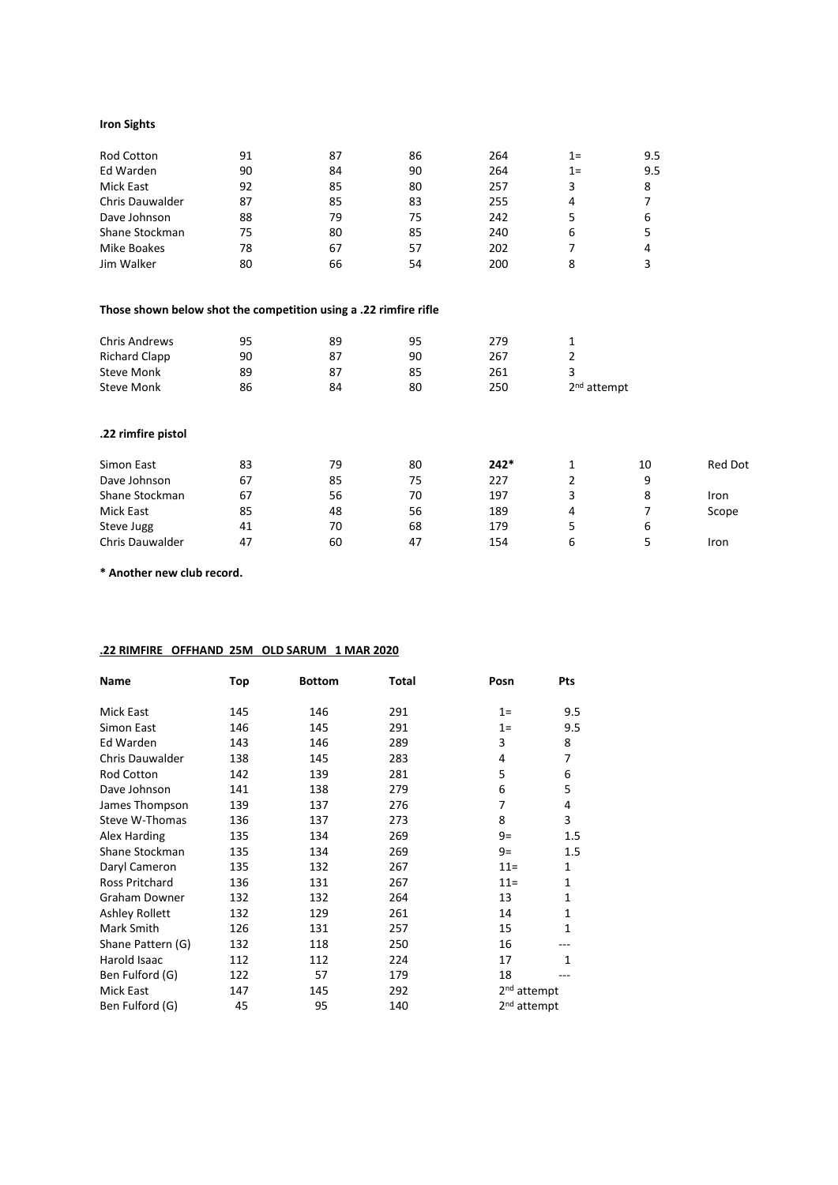## **Iron Sights**

| <b>Rod Cotton</b> | 91 | 87 | 86 | 264 | $1 =$ | 9.5 |
|-------------------|----|----|----|-----|-------|-----|
| Ed Warden         | 90 | 84 | 90 | 264 | $1=$  | 9.5 |
| Mick East         | 92 | 85 | 80 | 257 | 3     | 8   |
| Chris Dauwalder   | 87 | 85 | 83 | 255 | 4     |     |
| Dave Johnson      | 88 | 79 | 75 | 242 |       | 6   |
| Shane Stockman    | 75 | 80 | 85 | 240 | 6     | 5   |
| Mike Boakes       | 78 | 67 | 57 | 202 |       | 4   |
| Jim Walker        | 80 | 66 | 54 | 200 | 8     |     |

## **Those shown below shot the competition using a .22 rimfire rifle**

| <b>Chris Andrews</b><br><b>Richard Clapp</b><br><b>Steve Monk</b><br><b>Steve Monk</b> | 95<br>90<br>89<br>86 | 89<br>87<br>87<br>84 | 95<br>90<br>85<br>80 | 279<br>267<br>261<br>250 | 1<br>2<br>3<br>2 <sup>nd</sup> attempt |    |                |
|----------------------------------------------------------------------------------------|----------------------|----------------------|----------------------|--------------------------|----------------------------------------|----|----------------|
| .22 rimfire pistol                                                                     |                      |                      |                      |                          |                                        |    |                |
| Simon East                                                                             | 83                   | 79                   | 80                   | $242*$                   | 1                                      | 10 | <b>Red Dot</b> |
| Dave Johnson                                                                           | 67                   | 85                   | 75                   | 227                      | 2                                      | 9  |                |
| Shane Stockman                                                                         | 67                   | 56                   | 70                   | 197                      | 3                                      | 8  | Iron           |
| Mick East                                                                              | 85                   | 48                   | 56                   | 189                      | 4                                      | 7  | Scope          |
| Steve Jugg                                                                             | 41                   | 70                   | 68                   | 179                      | 5                                      | 6  |                |
| <b>Chris Dauwalder</b>                                                                 | 47                   | 60                   | 47                   | 154                      | 6                                      | 5  | Iron           |

**\* Another new club record.**

# **.22 RIMFIRE OFFHAND 25M OLD SARUM 1 MAR 2020**

| Name                  | Top | <b>Bottom</b> | Total | Posn                    | Pts          |
|-----------------------|-----|---------------|-------|-------------------------|--------------|
| Mick East             | 145 | 146           | 291   | $1=$                    | 9.5          |
| Simon East            | 146 | 145           | 291   | $1=$                    | 9.5          |
| Ed Warden             | 143 | 146           | 289   | 3                       | 8            |
| Chris Dauwalder       | 138 | 145           | 283   | 4                       | 7            |
| Rod Cotton            | 142 | 139           | 281   | 5                       | 6            |
| Dave Johnson          | 141 | 138           | 279   | 6                       | 5            |
| James Thompson        | 139 | 137           | 276   | 7                       | 4            |
| Steve W-Thomas        | 136 | 137           | 273   | 8                       | 3            |
| Alex Harding          | 135 | 134           | 269   | $9=$                    | 1.5          |
| Shane Stockman        | 135 | 134           | 269   | $9=$                    | $1.5\,$      |
| Daryl Cameron         | 135 | 132           | 267   | $11 =$                  | $\mathbf{1}$ |
| <b>Ross Pritchard</b> | 136 | 131           | 267   | $11 =$                  | $\mathbf{1}$ |
| <b>Graham Downer</b>  | 132 | 132           | 264   | 13                      | $\mathbf{1}$ |
| <b>Ashley Rollett</b> | 132 | 129           | 261   | 14                      | $\mathbf{1}$ |
| Mark Smith            | 126 | 131           | 257   | 15                      | 1            |
| Shane Pattern (G)     | 132 | 118           | 250   | 16                      |              |
| Harold Isaac          | 112 | 112           | 224   | 17                      | 1            |
| Ben Fulford (G)       | 122 | 57            | 179   | 18                      |              |
| Mick East             | 147 | 145           | 292   | 2 <sup>nd</sup> attempt |              |
| Ben Fulford (G)       | 45  | 95            | 140   | 2 <sup>nd</sup> attempt |              |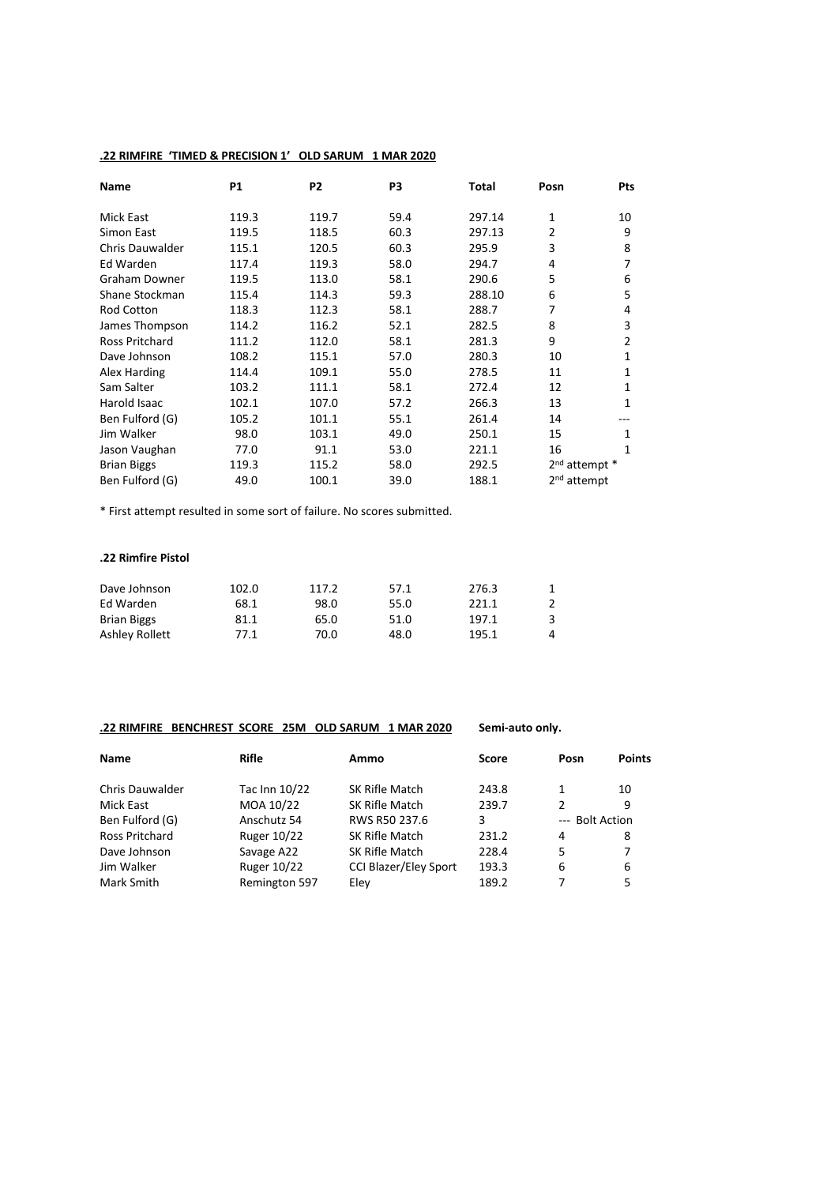# **.22 RIMFIRE 'TIMED & PRECISION 1' OLD SARUM 1 MAR 2020**

| <b>Name</b>            | <b>P1</b> | P <sub>2</sub> | P3   | Total  | Posn                      | Pts            |
|------------------------|-----------|----------------|------|--------|---------------------------|----------------|
| Mick East              | 119.3     | 119.7          | 59.4 | 297.14 | 1                         | 10             |
| Simon East             | 119.5     | 118.5          | 60.3 | 297.13 | 2                         | 9              |
| <b>Chris Dauwalder</b> | 115.1     | 120.5          | 60.3 | 295.9  | 3                         | 8              |
| Ed Warden              | 117.4     | 119.3          | 58.0 | 294.7  | 4                         | 7              |
| Graham Downer          | 119.5     | 113.0          | 58.1 | 290.6  | 5                         | 6              |
| Shane Stockman         | 115.4     | 114.3          | 59.3 | 288.10 | 6                         | 5              |
| <b>Rod Cotton</b>      | 118.3     | 112.3          | 58.1 | 288.7  | 7                         | 4              |
| James Thompson         | 114.2     | 116.2          | 52.1 | 282.5  | 8                         | 3              |
| <b>Ross Pritchard</b>  | 111.2     | 112.0          | 58.1 | 281.3  | 9                         | $\overline{2}$ |
| Dave Johnson           | 108.2     | 115.1          | 57.0 | 280.3  | 10                        | 1              |
| Alex Harding           | 114.4     | 109.1          | 55.0 | 278.5  | 11                        | 1              |
| Sam Salter             | 103.2     | 111.1          | 58.1 | 272.4  | 12                        | 1              |
| Harold Isaac           | 102.1     | 107.0          | 57.2 | 266.3  | 13                        | 1              |
| Ben Fulford (G)        | 105.2     | 101.1          | 55.1 | 261.4  | 14                        |                |
| Jim Walker             | 98.0      | 103.1          | 49.0 | 250.1  | 15                        | 1              |
| Jason Vaughan          | 77.0      | 91.1           | 53.0 | 221.1  | 16                        | 1              |
| <b>Brian Biggs</b>     | 119.3     | 115.2          | 58.0 | 292.5  | 2 <sup>nd</sup> attempt * |                |
| Ben Fulford (G)        | 49.0      | 100.1          | 39.0 | 188.1  | 2 <sup>nd</sup> attempt   |                |

\* First attempt resulted in some sort of failure. No scores submitted.

#### **.22 Rimfire Pistol**

| Dave Johnson       | 102.0 | 117.2 | 57.1 | 276.3 |   |
|--------------------|-------|-------|------|-------|---|
| Ed Warden          | 68.1  | 98.0  | 55.0 | 221.1 |   |
| <b>Brian Biggs</b> | 81.1  | 65.0  | 51.0 | 197.1 | 3 |
| Ashley Rollett     | 77.1  | 70.0  | 48.0 | 195.1 | 4 |

## **.22 RIMFIRE BENCHREST SCORE 25M OLD SARUM 1 MAR 2020 Semi-auto only.**

| <b>Name</b>            | Rifle              | Ammo                         | <b>Score</b> | Posn            | <b>Points</b> |
|------------------------|--------------------|------------------------------|--------------|-----------------|---------------|
| <b>Chris Dauwalder</b> | Tac Inn 10/22      | SK Rifle Match               | 243.8        |                 | 10            |
| Mick East              | MOA 10/22          | SK Rifle Match               | 239.7        | 2               | 9             |
| Ben Fulford (G)        | Anschutz 54        | RWS R50 237.6                | 3            | --- Bolt Action |               |
| <b>Ross Pritchard</b>  | <b>Ruger 10/22</b> | SK Rifle Match               | 231.2        | 4               | 8             |
| Dave Johnson           | Savage A22         | SK Rifle Match               | 228.4        | 5               | 7             |
| Jim Walker             | <b>Ruger 10/22</b> | <b>CCI Blazer/Eley Sport</b> | 193.3        | 6               | 6             |
| Mark Smith             | Remington 597      | Eley                         | 189.2        |                 | 5.            |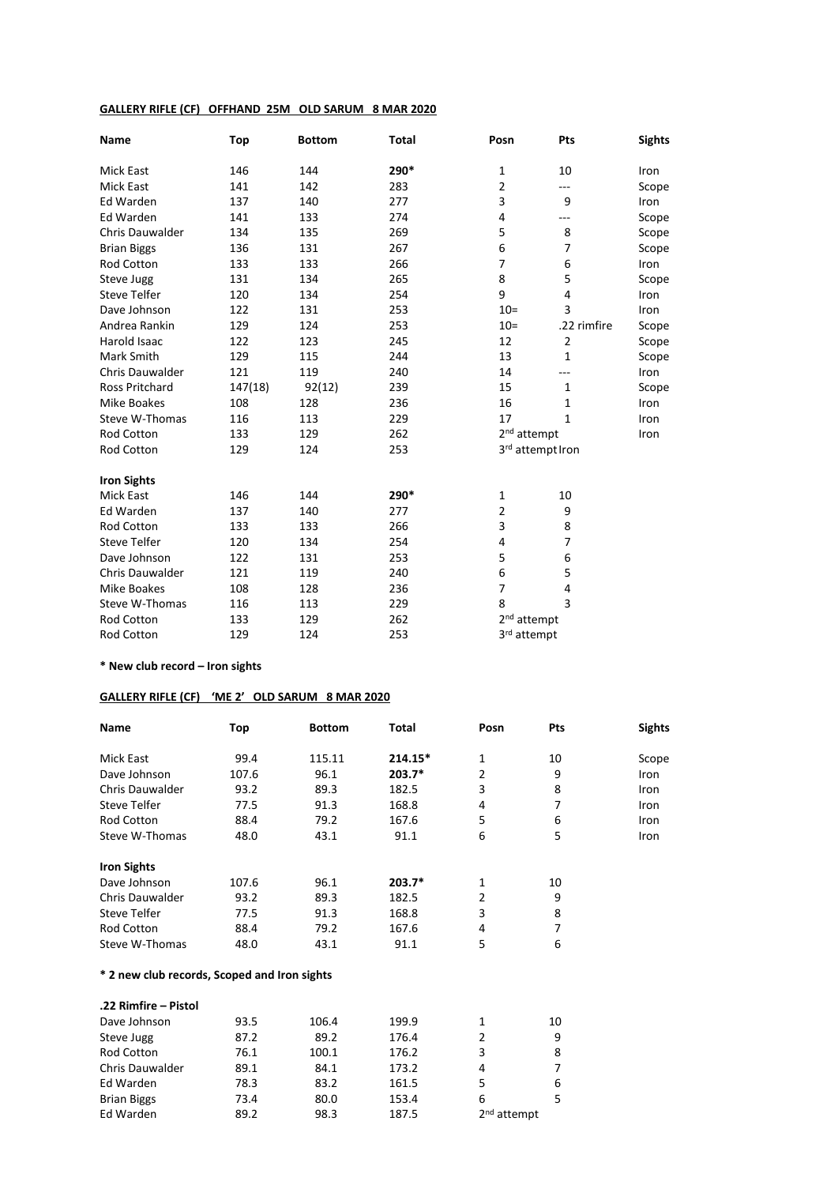## **GALLERY RIFLE (CF) OFFHAND 25M OLD SARUM 8 MAR 2020**

| Name                   | Top     | <b>Bottom</b> | <b>Total</b> | Posn                    | Pts              | <b>Sights</b> |
|------------------------|---------|---------------|--------------|-------------------------|------------------|---------------|
| Mick East              | 146     | 144           | 290*         | $\mathbf{1}$            | 10               | Iron          |
| <b>Mick East</b>       | 141     | 142           | 283          | $\overline{2}$          | ---              | Scope         |
| Ed Warden              | 137     | 140           | 277          | 3                       | 9                | Iron          |
| Ed Warden              | 141     | 133           | 274          | 4                       | ---              | Scope         |
| <b>Chris Dauwalder</b> | 134     | 135           | 269          | 5                       | 8                | Scope         |
| <b>Brian Biggs</b>     | 136     | 131           | 267          | 6                       | 7                | Scope         |
| <b>Rod Cotton</b>      | 133     | 133           | 266          | $\overline{7}$          | 6                | Iron          |
| Steve Jugg             | 131     | 134           | 265          | 8                       | 5                | Scope         |
| <b>Steve Telfer</b>    | 120     | 134           | 254          | 9                       | 4                | Iron          |
| Dave Johnson           | 122     | 131           | 253          | $10=$                   | 3                | Iron          |
| Andrea Rankin          | 129     | 124           | 253          | $10 =$                  | .22 rimfire      | Scope         |
| <b>Harold Isaac</b>    | 122     | 123           | 245          | 12                      | $\overline{2}$   | Scope         |
| Mark Smith             | 129     | 115           | 244          | 13                      | 1                | Scope         |
| <b>Chris Dauwalder</b> | 121     | 119           | 240          | 14                      | ---              | Iron          |
| <b>Ross Pritchard</b>  | 147(18) | 92(12)        | 239          | 15                      | $\mathbf{1}$     | Scope         |
| <b>Mike Boakes</b>     | 108     | 128           | 236          | 16                      | 1                | Iron          |
| Steve W-Thomas         | 116     | 113           | 229          | 17                      | 1                | Iron          |
| Rod Cotton             | 133     | 129           | 262          | 2 <sup>nd</sup> attempt |                  | Iron          |
| Rod Cotton             | 129     | 124           | 253          |                         | 3rd attempt Iron |               |
| <b>Iron Sights</b>     |         |               |              |                         |                  |               |
| <b>Mick East</b>       | 146     | 144           | 290*         | 1                       | 10               |               |
| Ed Warden              | 137     | 140           | 277          | $\overline{2}$          | 9                |               |
| Rod Cotton             | 133     | 133           | 266          | 3                       | 8                |               |
| <b>Steve Telfer</b>    | 120     | 134           | 254          | 4                       | $\overline{7}$   |               |
| Dave Johnson           | 122     | 131           | 253          | 5                       | 6                |               |
| <b>Chris Dauwalder</b> | 121     | 119           | 240          | 6                       | 5                |               |
| <b>Mike Boakes</b>     | 108     | 128           | 236          | $\overline{7}$          | 4                |               |
| Steve W-Thomas         | 116     | 113           | 229          | 8                       | 3                |               |
| <b>Rod Cotton</b>      | 133     | 129           | 262          | 2 <sup>nd</sup> attempt |                  |               |
| Rod Cotton             | 129     | 124           | 253          | 3rd attempt             |                  |               |

**\* New club record – Iron sights**

## **GALLERY RIFLE (CF) 'ME 2' OLD SARUM 8 MAR 2020**

| <b>Name</b>                                  | Top   | <b>Bottom</b> | <b>Total</b> | Posn                    | Pts | <b>Sights</b> |
|----------------------------------------------|-------|---------------|--------------|-------------------------|-----|---------------|
| Mick East                                    | 99.4  | 115.11        | $214.15*$    | $\mathbf{1}$            | 10  | Scope         |
| Dave Johnson                                 | 107.6 | 96.1          | $203.7*$     | 2                       | 9   | Iron          |
| Chris Dauwalder                              | 93.2  | 89.3          | 182.5        | 3                       | 8   | Iron          |
| <b>Steve Telfer</b>                          | 77.5  | 91.3          | 168.8        | 4                       | 7   | Iron          |
| Rod Cotton                                   | 88.4  | 79.2          | 167.6        | 5                       | 6   | Iron          |
| Steve W-Thomas                               | 48.0  | 43.1          | 91.1         | 6                       | 5   | Iron          |
| <b>Iron Sights</b>                           |       |               |              |                         |     |               |
| Dave Johnson                                 | 107.6 | 96.1          | $203.7*$     | $\mathbf{1}$            | 10  |               |
| Chris Dauwalder                              | 93.2  | 89.3          | 182.5        | $\overline{2}$          | 9   |               |
| <b>Steve Telfer</b>                          | 77.5  | 91.3          | 168.8        | 3                       | 8   |               |
| Rod Cotton                                   | 88.4  | 79.2          | 167.6        | 4                       | 7   |               |
| Steve W-Thomas                               | 48.0  | 43.1          | 91.1         | 5                       | 6   |               |
| * 2 new club records, Scoped and Iron sights |       |               |              |                         |     |               |
| .22 Rimfire - Pistol                         |       |               |              |                         |     |               |
| Dave Johnson                                 | 93.5  | 106.4         | 199.9        | 1                       | 10  |               |
| Steve Jugg                                   | 87.2  | 89.2          | 176.4        | $\overline{2}$          | 9   |               |
| <b>Rod Cotton</b>                            | 76.1  | 100.1         | 176.2        | 3                       | 8   |               |
| <b>Chris Dauwalder</b>                       | 89.1  | 84.1          | 173.2        | 4                       | 7   |               |
| Ed Warden                                    | 78.3  | 83.2          | 161.5        | 5                       | 6   |               |
| <b>Brian Biggs</b>                           | 73.4  | 80.0          | 153.4        | 6                       | 5   |               |
| Ed Warden                                    | 89.2  | 98.3          | 187.5        | 2 <sup>nd</sup> attempt |     |               |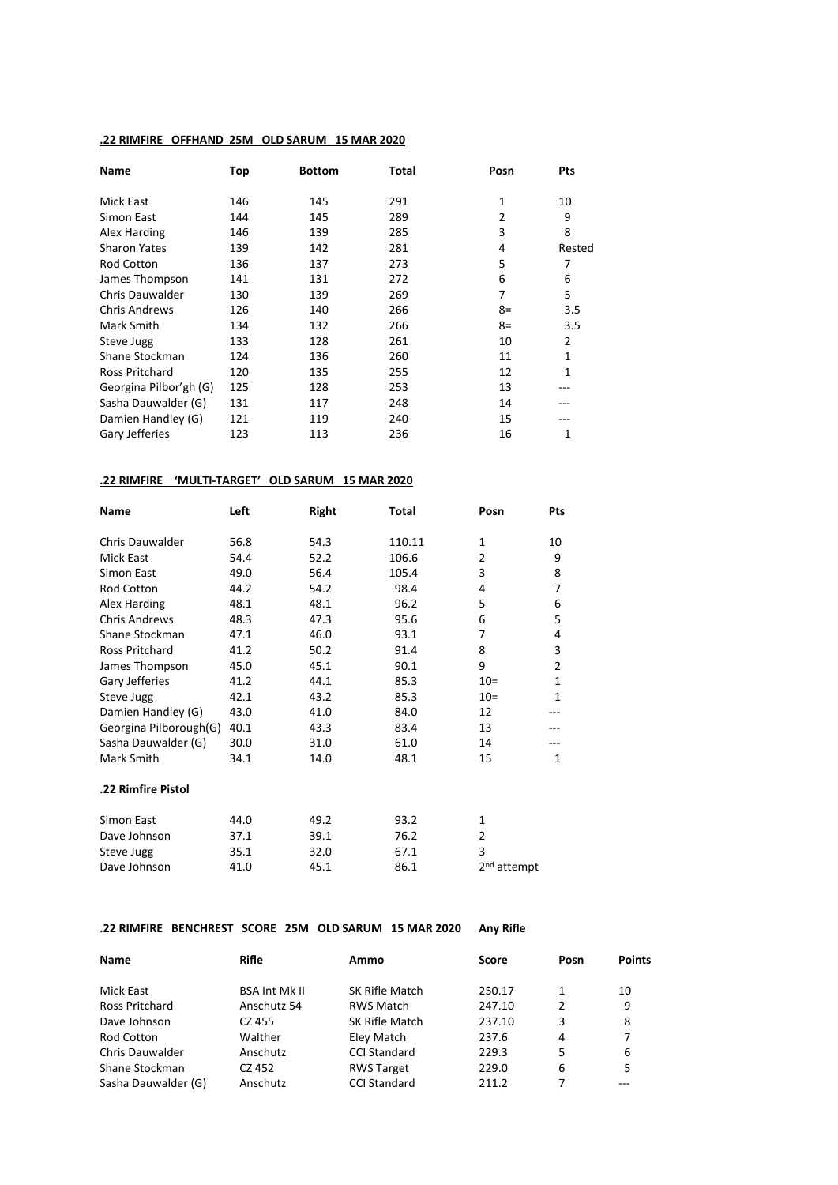#### **.22 RIMFIRE OFFHAND 25M OLD SARUM 15 MAR 2020**

| <b>Name</b>            | Top | <b>Bottom</b> | Total | Posn           | Pts          |
|------------------------|-----|---------------|-------|----------------|--------------|
| Mick East              | 146 | 145           | 291   | 1              | 10           |
| Simon East             | 144 | 145           | 289   | $\overline{2}$ | 9            |
| Alex Harding           | 146 | 139           | 285   | 3              | 8            |
| <b>Sharon Yates</b>    | 139 | 142           | 281   | 4              | Rested       |
| <b>Rod Cotton</b>      | 136 | 137           | 273   | 5              | 7            |
| James Thompson         | 141 | 131           | 272   | 6              | 6            |
| <b>Chris Dauwalder</b> | 130 | 139           | 269   | 7              | 5            |
| <b>Chris Andrews</b>   | 126 | 140           | 266   | $8=$           | 3.5          |
| Mark Smith             | 134 | 132           | 266   | $8=$           | 3.5          |
| Steve Jugg             | 133 | 128           | 261   | 10             | 2            |
| Shane Stockman         | 124 | 136           | 260   | 11             | 1            |
| <b>Ross Pritchard</b>  | 120 | 135           | 255   | 12             | $\mathbf{1}$ |
| Georgina Pilbor'gh (G) | 125 | 128           | 253   | 13             | ---          |
| Sasha Dauwalder (G)    | 131 | 117           | 248   | 14             |              |
| Damien Handley (G)     | 121 | 119           | 240   | 15             |              |
| Gary Jefferies         | 123 | 113           | 236   | 16             | 1            |

## **.22 RIMFIRE 'MULTI-TARGET' OLD SARUM 15 MAR 2020**

| <b>Name</b>            | Left | Right | Total  | Posn                    | Pts            |
|------------------------|------|-------|--------|-------------------------|----------------|
| Chris Dauwalder        | 56.8 | 54.3  | 110.11 | $\mathbf{1}$            | 10             |
| Mick East              | 54.4 | 52.2  | 106.6  | $\overline{2}$          | 9              |
| Simon East             | 49.0 | 56.4  | 105.4  | 3                       | 8              |
| Rod Cotton             | 44.2 | 54.2  | 98.4   | 4                       | 7              |
| Alex Harding           | 48.1 | 48.1  | 96.2   | 5                       | 6              |
| <b>Chris Andrews</b>   | 48.3 | 47.3  | 95.6   | 6                       | 5              |
| Shane Stockman         | 47.1 | 46.0  | 93.1   | 7                       | 4              |
| Ross Pritchard         | 41.2 | 50.2  | 91.4   | 8                       | 3              |
| James Thompson         | 45.0 | 45.1  | 90.1   | 9                       | $\overline{2}$ |
| Gary Jefferies         | 41.2 | 44.1  | 85.3   | $10=$                   | 1              |
| Steve Jugg             | 42.1 | 43.2  | 85.3   | $10=$                   | 1              |
| Damien Handley (G)     | 43.0 | 41.0  | 84.0   | 12                      |                |
| Georgina Pilborough(G) | 40.1 | 43.3  | 83.4   | 13                      |                |
| Sasha Dauwalder (G)    | 30.0 | 31.0  | 61.0   | 14                      |                |
| Mark Smith             | 34.1 | 14.0  | 48.1   | 15                      | $\mathbf{1}$   |
| .22 Rimfire Pistol     |      |       |        |                         |                |
| Simon East             | 44.0 | 49.2  | 93.2   | 1                       |                |
| Dave Johnson           | 37.1 | 39.1  | 76.2   | 2                       |                |
| Steve Jugg             | 35.1 | 32.0  | 67.1   | 3                       |                |
| Dave Johnson           | 41.0 | 45.1  | 86.1   | 2 <sup>nd</sup> attempt |                |

## **.22 RIMFIRE BENCHREST SCORE 25M OLD SARUM 15 MAR 2020 Any Rifle**

| <b>Name</b>            | Rifle                | Ammo                | <b>Score</b> | Posn          | <b>Points</b> |
|------------------------|----------------------|---------------------|--------------|---------------|---------------|
| Mick East              | <b>BSA Int Mk II</b> | SK Rifle Match      | 250.17       | 1             | 10            |
| Ross Pritchard         | Anschutz 54          | <b>RWS Match</b>    | 247.10       | $\mathcal{P}$ | 9             |
| Dave Johnson           | CZ 455               | SK Rifle Match      | 237.10       | 3             | 8             |
| <b>Rod Cotton</b>      | Walther              | Eley Match          | 237.6        | 4             | 7             |
| <b>Chris Dauwalder</b> | Anschutz             | <b>CCI Standard</b> | 229.3        | 5             | 6             |
| Shane Stockman         | CZ 452               | <b>RWS Target</b>   | 229.0        | 6             | 5             |
| Sasha Dauwalder (G)    | Anschutz             | <b>CCI Standard</b> | 211.2        |               |               |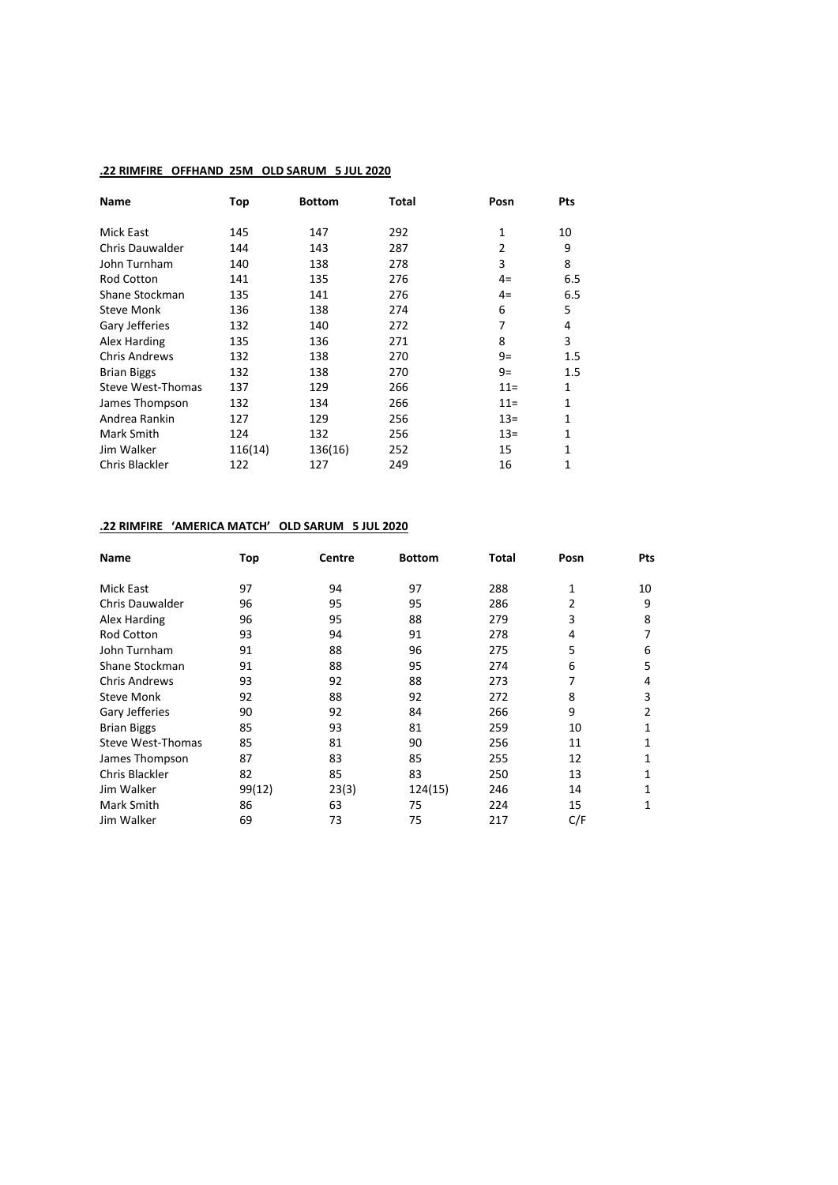## **.22 RIMFIRE OFFHAND 25M OLD SARUM 5 JUL 2020**

| <b>Name</b>            | Top     | <b>Bottom</b> | Total | Posn           | Pts     |
|------------------------|---------|---------------|-------|----------------|---------|
| Mick East              | 145     | 147           | 292   | 1              | 10      |
| <b>Chris Dauwalder</b> | 144     | 143           | 287   | $\overline{2}$ | 9       |
| John Turnham           | 140     | 138           | 278   | 3              | 8       |
| <b>Rod Cotton</b>      | 141     | 135           | 276   | 4=             | 6.5     |
| Shane Stockman         | 135     | 141           | 276   | 4=             | 6.5     |
| <b>Steve Monk</b>      | 136     | 138           | 274   | 6              | 5       |
| Gary Jefferies         | 132     | 140           | 272   | 7              | 4       |
| Alex Harding           | 135     | 136           | 271   | 8              | 3       |
| <b>Chris Andrews</b>   | 132     | 138           | 270   | $9=$           | $1.5\,$ |
| <b>Brian Biggs</b>     | 132     | 138           | 270   | $9=$           | 1.5     |
| Steve West-Thomas      | 137     | 129           | 266   | $11 =$         | 1       |
| James Thompson         | 132     | 134           | 266   | $11 =$         | 1       |
| Andrea Rankin          | 127     | 129           | 256   | $13=$          | 1       |
| Mark Smith             | 124     | 132           | 256   | $13=$          | 1       |
| Jim Walker             | 116(14) | 136(16)       | 252   | 15             | 1       |
| Chris Blackler         | 122     | 127           | 249   | 16             | 1       |

# **.22 RIMFIRE 'AMERICA MATCH' OLD SARUM 5 JUL 2020**

| <b>Name</b>            | Top    | Centre | <b>Bottom</b> | Total | Posn | <b>Pts</b>   |
|------------------------|--------|--------|---------------|-------|------|--------------|
| Mick East              | 97     | 94     | 97            | 288   | 1    | 10           |
| <b>Chris Dauwalder</b> | 96     | 95     | 95            | 286   | 2    | 9            |
| Alex Harding           | 96     | 95     | 88            | 279   | 3    | 8            |
| <b>Rod Cotton</b>      | 93     | 94     | 91            | 278   | 4    | 7            |
| John Turnham           | 91     | 88     | 96            | 275   | 5    | 6            |
| Shane Stockman         | 91     | 88     | 95            | 274   | 6    | 5            |
| <b>Chris Andrews</b>   | 93     | 92     | 88            | 273   | 7    | 4            |
| <b>Steve Monk</b>      | 92     | 88     | 92            | 272   | 8    | 3            |
| Gary Jefferies         | 90     | 92     | 84            | 266   | 9    | 2            |
| <b>Brian Biggs</b>     | 85     | 93     | 81            | 259   | 10   | 1            |
| Steve West-Thomas      | 85     | 81     | 90            | 256   | 11   | 1            |
| James Thompson         | 87     | 83     | 85            | 255   | 12   | 1            |
| Chris Blackler         | 82     | 85     | 83            | 250   | 13   | 1            |
| Jim Walker             | 99(12) | 23(3)  | 124(15)       | 246   | 14   | 1            |
| Mark Smith             | 86     | 63     | 75            | 224   | 15   | $\mathbf{1}$ |
| Jim Walker             | 69     | 73     | 75            | 217   | C/F  |              |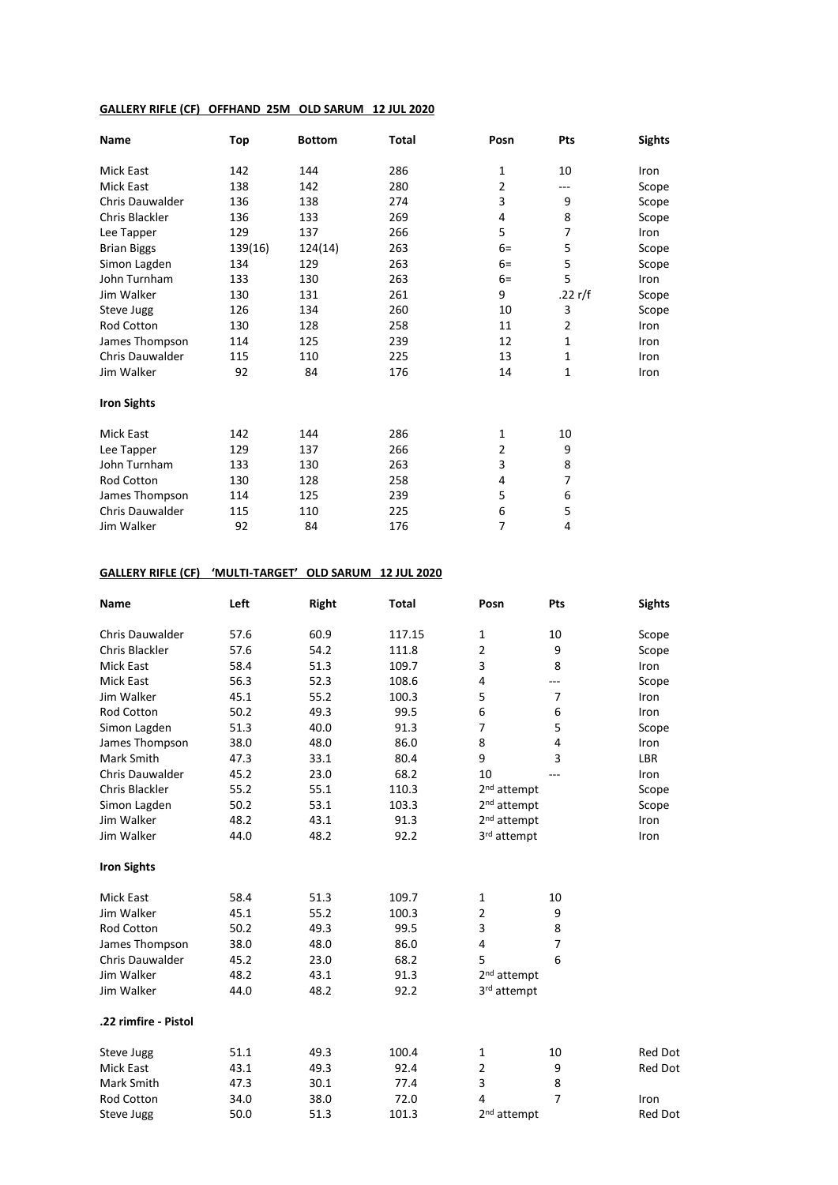# **GALLERY RIFLE (CF) OFFHAND 25M OLD SARUM 12 JUL 2020**

| <b>Name</b>            | Top     | <b>Bottom</b> | Total | Posn           | Pts            | <b>Sights</b> |
|------------------------|---------|---------------|-------|----------------|----------------|---------------|
| Mick East              | 142     | 144           | 286   | $\mathbf{1}$   | 10             | Iron          |
| <b>Mick East</b>       | 138     | 142           | 280   | 2              | ---            | Scope         |
| <b>Chris Dauwalder</b> | 136     | 138           | 274   | 3              | 9              | Scope         |
| Chris Blackler         | 136     | 133           | 269   | 4              | 8              | Scope         |
| Lee Tapper             | 129     | 137           | 266   | 5              | 7              | Iron          |
| <b>Brian Biggs</b>     | 139(16) | 124(14)       | 263   | $6=$           | 5              | Scope         |
| Simon Lagden           | 134     | 129           | 263   | $6=$           | 5              | Scope         |
| John Turnham           | 133     | 130           | 263   | $6=$           | 5              | Iron          |
| Jim Walker             | 130     | 131           | 261   | 9              | .22 r/f        | Scope         |
| Steve Jugg             | 126     | 134           | 260   | 10             | 3              | Scope         |
| Rod Cotton             | 130     | 128           | 258   | 11             | $\overline{2}$ | Iron          |
| James Thompson         | 114     | 125           | 239   | 12             | 1              | <b>Iron</b>   |
| <b>Chris Dauwalder</b> | 115     | 110           | 225   | 13             | 1              | Iron          |
| Jim Walker             | 92      | 84            | 176   | 14             | 1              | Iron          |
| <b>Iron Sights</b>     |         |               |       |                |                |               |
| <b>Mick East</b>       | 142     | 144           | 286   | $\mathbf{1}$   | 10             |               |
| Lee Tapper             | 129     | 137           | 266   | $\overline{2}$ | 9              |               |
| John Turnham           | 133     | 130           | 263   | 3              | 8              |               |
| <b>Rod Cotton</b>      | 130     | 128           | 258   | 4              | $\overline{7}$ |               |
| James Thompson         | 114     | 125           | 239   | 5              | 6              |               |
| <b>Chris Dauwalder</b> | 115     | 110           | 225   | 6              | 5              |               |
| Jim Walker             | 92      | 84            | 176   | 7              | 4              |               |

#### **GALLERY RIFLE (CF) 'MULTI-TARGET' OLD SARUM 12 JUL 2020**

| Name                   | Left | Right | <b>Total</b> | Posn                    | Pts            | <b>Sights</b>  |
|------------------------|------|-------|--------------|-------------------------|----------------|----------------|
| Chris Dauwalder        | 57.6 | 60.9  | 117.15       | 1                       | 10             | Scope          |
| Chris Blackler         | 57.6 | 54.2  | 111.8        | $\overline{2}$          | 9              | Scope          |
| <b>Mick East</b>       | 58.4 | 51.3  | 109.7        | 3                       | 8              | Iron           |
| <b>Mick East</b>       | 56.3 | 52.3  | 108.6        | 4                       | ---            | Scope          |
| Jim Walker             | 45.1 | 55.2  | 100.3        | 5                       | $\overline{7}$ | Iron           |
| <b>Rod Cotton</b>      | 50.2 | 49.3  | 99.5         | 6                       | 6              | Iron           |
| Simon Lagden           | 51.3 | 40.0  | 91.3         | $\overline{7}$          | 5              | Scope          |
| James Thompson         | 38.0 | 48.0  | 86.0         | 8                       | 4              | Iron           |
| Mark Smith             | 47.3 | 33.1  | 80.4         | 9                       | 3              | LBR            |
| <b>Chris Dauwalder</b> | 45.2 | 23.0  | 68.2         | 10                      |                | Iron           |
| Chris Blackler         | 55.2 | 55.1  | 110.3        | 2 <sup>nd</sup> attempt |                | Scope          |
| Simon Lagden           | 50.2 | 53.1  | 103.3        | 2 <sup>nd</sup> attempt |                | Scope          |
| Jim Walker             | 48.2 | 43.1  | 91.3         | 2 <sup>nd</sup> attempt |                | Iron           |
| Jim Walker             | 44.0 | 48.2  | 92.2         | 3rd attempt             |                | Iron           |
| <b>Iron Sights</b>     |      |       |              |                         |                |                |
| <b>Mick East</b>       | 58.4 | 51.3  | 109.7        | $\mathbf 1$             | 10             |                |
| Jim Walker             | 45.1 | 55.2  | 100.3        | $\overline{2}$          | 9              |                |
| Rod Cotton             | 50.2 | 49.3  | 99.5         | 3                       | 8              |                |
| James Thompson         | 38.0 | 48.0  | 86.0         | 4                       | 7              |                |
| Chris Dauwalder        | 45.2 | 23.0  | 68.2         | 5                       | 6              |                |
| Jim Walker             | 48.2 | 43.1  | 91.3         | 2 <sup>nd</sup> attempt |                |                |
| Jim Walker             | 44.0 | 48.2  | 92.2         | 3rd attempt             |                |                |
| .22 rimfire - Pistol   |      |       |              |                         |                |                |
| Steve Jugg             | 51.1 | 49.3  | 100.4        | 1                       | 10             | <b>Red Dot</b> |
| <b>Mick East</b>       | 43.1 | 49.3  | 92.4         | $\overline{2}$          | 9              | Red Dot        |
| Mark Smith             | 47.3 | 30.1  | 77.4         | 3                       | 8              |                |
| Rod Cotton             | 34.0 | 38.0  | 72.0         | 4                       | $\overline{7}$ | Iron           |
| Steve Jugg             | 50.0 | 51.3  | 101.3        | 2 <sup>nd</sup> attempt |                | <b>Red Dot</b> |